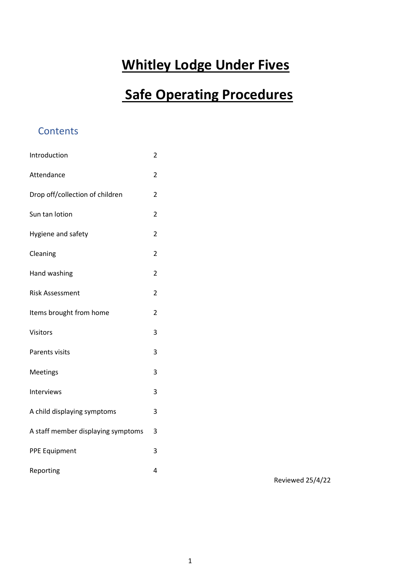# **Whitley Lodge Under Fives**

# **Safe Operating Procedures**

# **Contents**

| Introduction                       | $\overline{\mathbf{c}}$ |
|------------------------------------|-------------------------|
| Attendance                         | 2                       |
| Drop off/collection of children    | 2                       |
| Sun tan lotion                     | $\overline{2}$          |
| Hygiene and safety                 | $\overline{2}$          |
| Cleaning                           | $\overline{2}$          |
| Hand washing                       | $\overline{2}$          |
| <b>Risk Assessment</b>             | $\overline{2}$          |
| Items brought from home            | 2                       |
| Visitors                           | 3                       |
| Parents visits                     | 3                       |
| Meetings                           | 3                       |
| Interviews                         | 3                       |
| A child displaying symptoms        | 3                       |
| A staff member displaying symptoms | 3                       |
| <b>PPE Equipment</b>               | 3                       |
| Reporting                          | 4                       |

Reviewed 25/4/22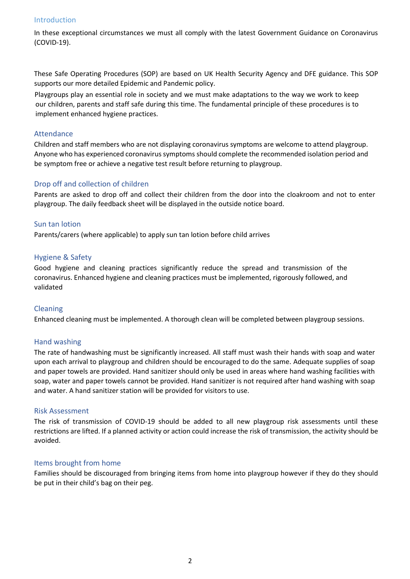#### Introduction

In these exceptional circumstances we must all comply with the latest Government Guidance on Coronavirus (COVID-19).

These Safe Operating Procedures (SOP) are based on UK Health Security Agency and DFE guidance. This SOP supports our more detailed Epidemic and Pandemic policy.

 Playgroups play an essential role in society and we must make adaptations to the way we work to keep our children, parents and staff safe during this time. The fundamental principle of these procedures is to implement enhanced hygiene practices.

#### Attendance

Children and staff members who are not displaying coronavirus symptoms are welcome to attend playgroup. Anyone who has experienced coronavirus symptoms should complete the recommended isolation period and be symptom free or achieve a negative test result before returning to playgroup.

## Drop off and collection of children

Parents are asked to drop off and collect their children from the door into the cloakroom and not to enter playgroup. The daily feedback sheet will be displayed in the outside notice board.

## Sun tan lotion

Parents/carers (where applicable) to apply sun tan lotion before child arrives

## Hygiene & Safety

Good hygiene and cleaning practices significantly reduce the spread and transmission of the coronavirus. Enhanced hygiene and cleaning practices must be implemented, rigorously followed, and validated

#### Cleaning

Enhanced cleaning must be implemented. A thorough clean will be completed between playgroup sessions.

#### Hand washing

The rate of handwashing must be significantly increased. All staff must wash their hands with soap and water upon each arrival to playgroup and children should be encouraged to do the same. Adequate supplies of soap and paper towels are provided. Hand sanitizer should only be used in areas where hand washing facilities with soap, water and paper towels cannot be provided. Hand sanitizer is not required after hand washing with soap and water. A hand sanitizer station will be provided for visitors to use.

#### Risk Assessment

The risk of transmission of COVID-19 should be added to all new playgroup risk assessments until these restrictions are lifted. If a planned activity or action could increase the risk of transmission, the activity should be avoided.

#### Items brought from home

Families should be discouraged from bringing items from home into playgroup however if they do they should be put in their child's bag on their peg.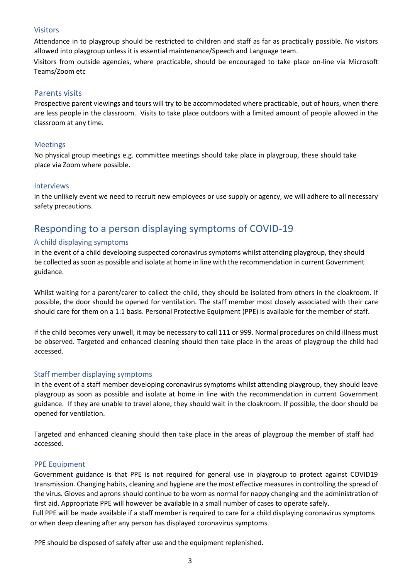#### Visitors

Attendance in to playgroup should be restricted to children and staff as far as practically possible. No visitors allowed into playgroup unless it is essential maintenance/Speech and Language team.

 Visitors from outside agencies, where practicable, should be encouraged to take place on-line via Microsoft Teams/Zoom etc

# Parents visits

Prospective parent viewings and tours will try to be accommodated where practicable, out of hours, when there are less people in the classroom. Visits to take place outdoors with a limited amount of people allowed in the classroom at any time.

## Meetings

No physical group meetings e.g. committee meetings should take place in playgroup, these should take place via Zoom where possible.

#### Interviews

In the unlikely event we need to recruit new employees or use supply or agency, we will adhere to all necessary safety precautions.

# Responding to a person displaying symptoms of COVID-19

# A child displaying symptoms

In the event of a child developing suspected coronavirus symptoms whilst attending playgroup, they should be collected as soon as possible and isolate at home in line with the recommendation in current Government guidance.

Whilst waiting for a parent/carer to collect the child, they should be isolated from others in the cloakroom. If possible, the door should be opened for ventilation. The staff member most closely associated with their care should care for them on a 1:1 basis. Personal Protective Equipment (PPE) is available for the member of staff.

If the child becomes very unwell, it may be necessary to call 111 or 999. Normal procedures on child illness must be observed. Targeted and enhanced cleaning should then take place in the areas of playgroup the child had accessed.

# Staff member displaying symptoms

In the event of a staff member developing coronavirus symptoms whilst attending playgroup, they should leave playgroup as soon as possible and isolate at home in line with the recommendation in current Government guidance. If they are unable to travel alone, they should wait in the cloakroom. If possible, the door should be opened for ventilation.

Targeted and enhanced cleaning should then take place in the areas of playgroup the member of staff had accessed.

#### PPE Equipment

Government guidance is that PPE is not required for general use in playgroup to protect against COVID19 transmission. Changing habits, cleaning and hygiene are the most effective measures in controlling the spread of the virus. Gloves and aprons should continue to be worn as normal for nappy changing and the administration of first aid. Appropriate PPE will however be available in a small number of cases to operate safely.

Full PPE will be made available if a staff member is required to care for a child displaying coronavirus symptoms or when deep cleaning after any person has displayed coronavirus symptoms.

PPE should be disposed of safely after use and the equipment replenished.